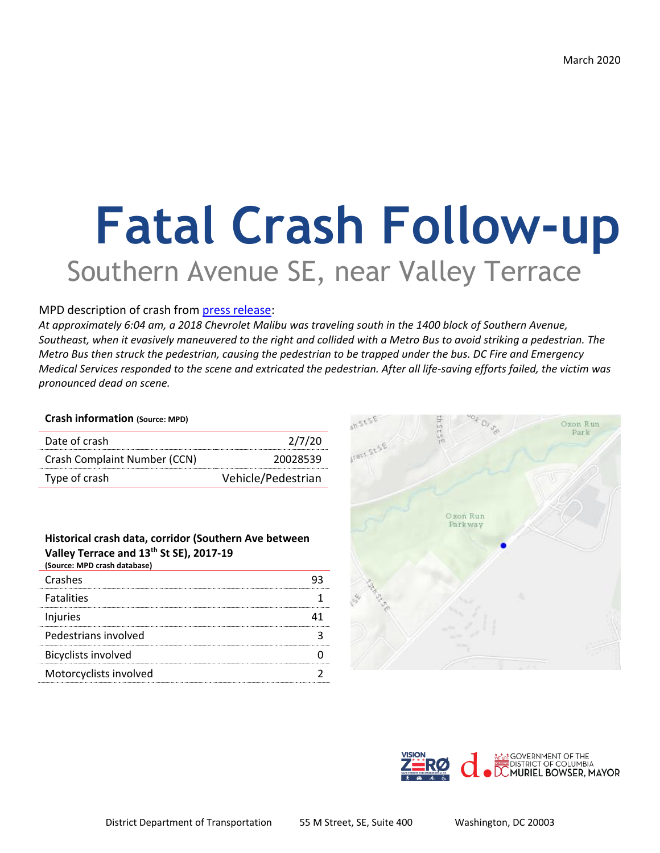# **Fatal Crash Follow-up** Southern Avenue SE, near Valley Terrace

## MPD description of crash from [press release:](https://mpdc.dc.gov/release/traffic-fatalities-intersection-13th-street-and-alabama-avenue-southeast)

*At approximately 6:04 am, a 2018 Chevrolet Malibu was traveling south in the 1400 block of Southern Avenue, Southeast, when it evasively maneuvered to the right and collided with a Metro Bus to avoid striking a pedestrian. The Metro Bus then struck the pedestrian, causing the pedestrian to be trapped under the bus. DC Fire and Emergency Medical Services responded to the scene and extricated the pedestrian. After all life-saving efforts failed, the victim was pronounced dead on scene.*

### **Crash information (Source: MPD)**

| Date of crash                | 2/7/20             |
|------------------------------|--------------------|
| Crash Complaint Number (CCN) | 20028539           |
| Type of crash                | Vehicle/Pedestrian |

#### **Historical crash data, corridor (Southern Ave between Valley Terrace and 13th St SE), 2017-19 (Source: MPD crash database)**

| Crashes                    |  |
|----------------------------|--|
| <b>Fatalities</b>          |  |
| Injuries                   |  |
| Pedestrians involved       |  |
| <b>Bicyclists involved</b> |  |
| Motorcyclists involved     |  |
|                            |  |